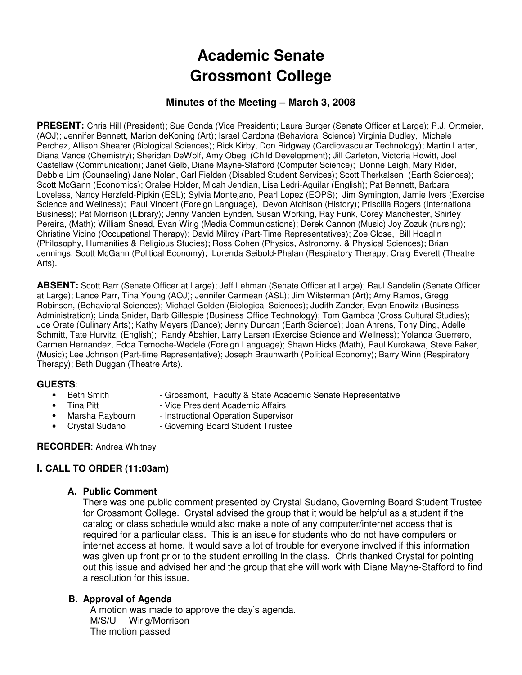# **Academic Senate Grossmont College**

## **Minutes of the Meeting – March 3, 2008**

**PRESENT:** Chris Hill (President); Sue Gonda (Vice President); Laura Burger (Senate Officer at Large); P.J. Ortmeier, (AOJ); Jennifer Bennett, Marion deKoning (Art); Israel Cardona (Behavioral Science) Virginia Dudley, Michele Perchez, Allison Shearer (Biological Sciences); Rick Kirby, Don Ridgway (Cardiovascular Technology); Martin Larter, Diana Vance (Chemistry); Sheridan DeWolf, Amy Obegi (Child Development); Jill Carleton, Victoria Howitt, Joel Castellaw (Communication); Janet Gelb, Diane Mayne-Stafford (Computer Science); Donne Leigh, Mary Rider, Debbie Lim (Counseling) Jane Nolan, Carl Fielden (Disabled Student Services); Scott Therkalsen (Earth Sciences); Scott McGann (Economics); Oralee Holder, Micah Jendian, Lisa Ledri-Aguilar (English); Pat Bennett, Barbara Loveless, Nancy Herzfeld-Pipkin (ESL); Sylvia Montejano, Pearl Lopez (EOPS); Jim Symington, Jamie Ivers (Exercise Science and Wellness); Paul Vincent (Foreign Language), Devon Atchison (History); Priscilla Rogers (International Business); Pat Morrison (Library); Jenny Vanden Eynden, Susan Working, Ray Funk, Corey Manchester, Shirley Pereira, (Math); William Snead, Evan Wirig (Media Communications); Derek Cannon (Music) Joy Zozuk (nursing); Christine Vicino (Occupational Therapy); David Milroy (Part-Time Representatives); Zoe Close, Bill Hoaglin (Philosophy, Humanities & Religious Studies); Ross Cohen (Physics, Astronomy, & Physical Sciences); Brian Jennings, Scott McGann (Political Economy); Lorenda Seibold-Phalan (Respiratory Therapy; Craig Everett (Theatre Arts).

**ABSENT:** Scott Barr (Senate Officer at Large); Jeff Lehman (Senate Officer at Large); Raul Sandelin (Senate Officer at Large); Lance Parr, Tina Young (AOJ); Jennifer Carmean (ASL); Jim Wilsterman (Art); Amy Ramos, Gregg Robinson, (Behavioral Sciences); Michael Golden (Biological Sciences); Judith Zander, Evan Enowitz (Business Administration); Linda Snider, Barb Gillespie (Business Office Technology); Tom Gamboa (Cross Cultural Studies); Joe Orate (Culinary Arts); Kathy Meyers (Dance); Jenny Duncan (Earth Science); Joan Ahrens, Tony Ding, Adelle Schmitt, Tate Hurvitz, (English); Randy Abshier, Larry Larsen (Exercise Science and Wellness); Yolanda Guerrero, Carmen Hernandez, Edda Temoche-Wedele (Foreign Language); Shawn Hicks (Math), Paul Kurokawa, Steve Baker, (Music); Lee Johnson (Part-time Representative); Joseph Braunwarth (Political Economy); Barry Winn (Respiratory Therapy); Beth Duggan (Theatre Arts).

#### **GUESTS**:

- Beth Smith · Grossmont, Faculty & State Academic Senate Representative
- 
- Tina Pitt Vice President Academic Affairs<br>• Marsha Ravbourn Instructional Operation Supervise
- 
- Instructional Operation Supervisor • Crystal Sudano - Governing Board Student Trustee
- **RECORDER**: Andrea Whitney
	-

# **I. CALL TO ORDER (11:03am)**

**A. Public Comment** 

There was one public comment presented by Crystal Sudano, Governing Board Student Trustee for Grossmont College. Crystal advised the group that it would be helpful as a student if the catalog or class schedule would also make a note of any computer/internet access that is required for a particular class. This is an issue for students who do not have computers or internet access at home. It would save a lot of trouble for everyone involved if this information was given up front prior to the student enrolling in the class. Chris thanked Crystal for pointing out this issue and advised her and the group that she will work with Diane Mayne-Stafford to find a resolution for this issue.

#### **B. Approval of Agenda**

A motion was made to approve the day's agenda. M/S/U Wirig/Morrison The motion passed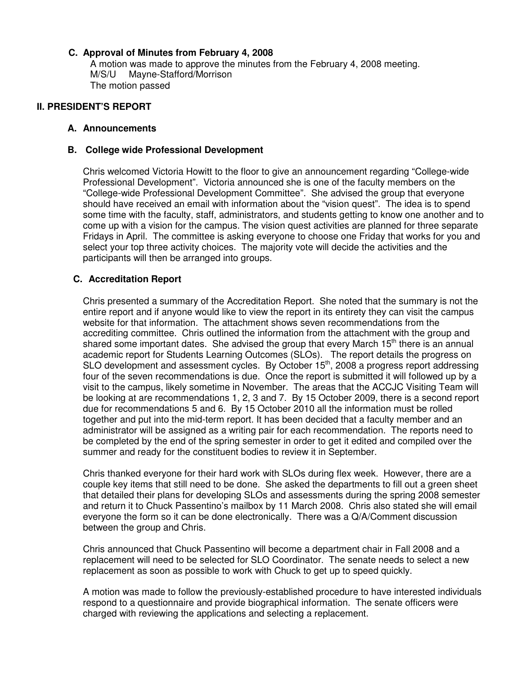### **C. Approval of Minutes from February 4, 2008**

A motion was made to approve the minutes from the February 4, 2008 meeting. M/S/U Mayne-Stafford/Morrison The motion passed

#### **II. PRESIDENT'S REPORT**

#### **A. Announcements**

#### **B. College wide Professional Development**

 Chris welcomed Victoria Howitt to the floor to give an announcement regarding "College-wide Professional Development". Victoria announced she is one of the faculty members on the "College-wide Professional Development Committee". She advised the group that everyone should have received an email with information about the "vision quest". The idea is to spend some time with the faculty, staff, administrators, and students getting to know one another and to come up with a vision for the campus. The vision quest activities are planned for three separate Fridays in April. The committee is asking everyone to choose one Friday that works for you and select your top three activity choices. The majority vote will decide the activities and the participants will then be arranged into groups.

#### **C. Accreditation Report**

 Chris presented a summary of the Accreditation Report. She noted that the summary is not the entire report and if anyone would like to view the report in its entirety they can visit the campus website for that information. The attachment shows seven recommendations from the accrediting committee. Chris outlined the information from the attachment with the group and shared some important dates. She advised the group that every March 15<sup>th</sup> there is an annual academic report for Students Learning Outcomes (SLOs). The report details the progress on SLO development and assessment cycles. By October 15<sup>th</sup>, 2008 a progress report addressing four of the seven recommendations is due. Once the report is submitted it will followed up by a visit to the campus, likely sometime in November. The areas that the ACCJC Visiting Team will be looking at are recommendations 1, 2, 3 and 7. By 15 October 2009, there is a second report due for recommendations 5 and 6. By 15 October 2010 all the information must be rolled together and put into the mid-term report. It has been decided that a faculty member and an administrator will be assigned as a writing pair for each recommendation. The reports need to be completed by the end of the spring semester in order to get it edited and compiled over the summer and ready for the constituent bodies to review it in September.

Chris thanked everyone for their hard work with SLOs during flex week. However, there are a couple key items that still need to be done. She asked the departments to fill out a green sheet that detailed their plans for developing SLOs and assessments during the spring 2008 semester and return it to Chuck Passentino's mailbox by 11 March 2008. Chris also stated she will email everyone the form so it can be done electronically. There was a Q/A/Comment discussion between the group and Chris.

Chris announced that Chuck Passentino will become a department chair in Fall 2008 and a replacement will need to be selected for SLO Coordinator. The senate needs to select a new replacement as soon as possible to work with Chuck to get up to speed quickly.

A motion was made to follow the previously-established procedure to have interested individuals respond to a questionnaire and provide biographical information. The senate officers were charged with reviewing the applications and selecting a replacement.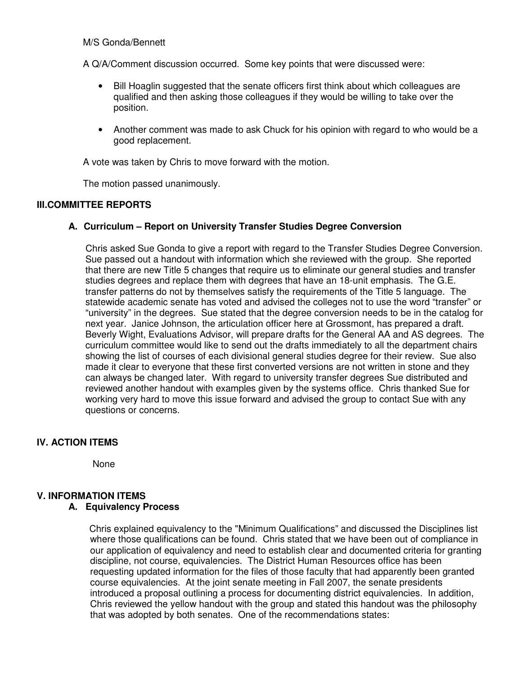#### M/S Gonda/Bennett

A Q/A/Comment discussion occurred. Some key points that were discussed were:

- Bill Hoaglin suggested that the senate officers first think about which colleagues are qualified and then asking those colleagues if they would be willing to take over the position.
- Another comment was made to ask Chuck for his opinion with regard to who would be a good replacement.

A vote was taken by Chris to move forward with the motion.

The motion passed unanimously.

#### **III.COMMITTEE REPORTS**

#### **A. Curriculum – Report on University Transfer Studies Degree Conversion**

 Chris asked Sue Gonda to give a report with regard to the Transfer Studies Degree Conversion. Sue passed out a handout with information which she reviewed with the group. She reported that there are new Title 5 changes that require us to eliminate our general studies and transfer studies degrees and replace them with degrees that have an 18-unit emphasis. The G.E. transfer patterns do not by themselves satisfy the requirements of the Title 5 language. The statewide academic senate has voted and advised the colleges not to use the word "transfer" or "university" in the degrees. Sue stated that the degree conversion needs to be in the catalog for next year. Janice Johnson, the articulation officer here at Grossmont, has prepared a draft. Beverly Wight, Evaluations Advisor, will prepare drafts for the General AA and AS degrees. The curriculum committee would like to send out the drafts immediately to all the department chairs showing the list of courses of each divisional general studies degree for their review. Sue also made it clear to everyone that these first converted versions are not written in stone and they can always be changed later. With regard to university transfer degrees Sue distributed and reviewed another handout with examples given by the systems office. Chris thanked Sue for working very hard to move this issue forward and advised the group to contact Sue with any questions or concerns.

#### **IV. ACTION ITEMS**

None

# **V. INFORMATION ITEMS**

#### **A. Equivalency Process**

Chris explained equivalency to the "Minimum Qualifications" and discussed the Disciplines list where those qualifications can be found. Chris stated that we have been out of compliance in our application of equivalency and need to establish clear and documented criteria for granting discipline, not course, equivalencies. The District Human Resources office has been requesting updated information for the files of those faculty that had apparently been granted course equivalencies. At the joint senate meeting in Fall 2007, the senate presidents introduced a proposal outlining a process for documenting district equivalencies. In addition, Chris reviewed the yellow handout with the group and stated this handout was the philosophy that was adopted by both senates. One of the recommendations states: